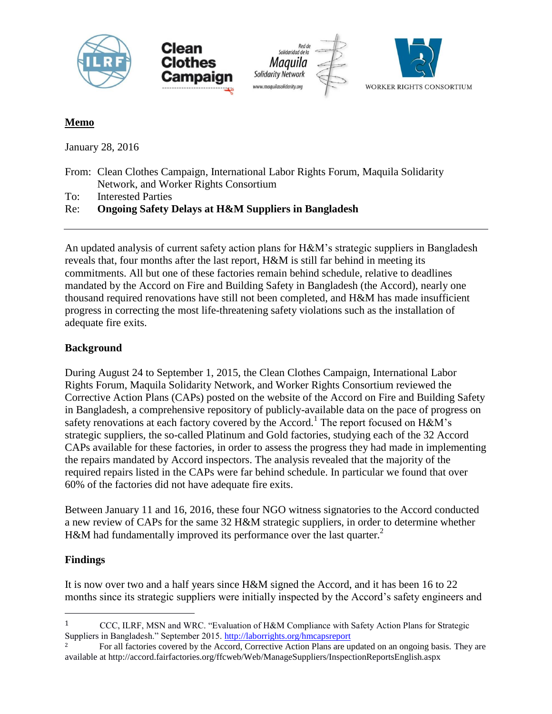

# **Memo**

January 28, 2016

From: Clean Clothes Campaign, International Labor Rights Forum, Maquila Solidarity Network, and Worker Rights Consortium

To: Interested Parties

# Re: **Ongoing Safety Delays at H&M Suppliers in Bangladesh**

An updated analysis of current safety action plans for H&M's strategic suppliers in Bangladesh reveals that, four months after the last report, H&M is still far behind in meeting its commitments. All but one of these factories remain behind schedule, relative to deadlines mandated by the Accord on Fire and Building Safety in Bangladesh (the Accord), nearly one thousand required renovations have still not been completed, and H&M has made insufficient progress in correcting the most life-threatening safety violations such as the installation of adequate fire exits.

## **Background**

During August 24 to September 1, 2015, the Clean Clothes Campaign, International Labor Rights Forum, Maquila Solidarity Network, and Worker Rights Consortium reviewed the Corrective Action Plans (CAPs) posted on the website of the Accord on Fire and Building Safety in Bangladesh, a comprehensive repository of publicly-available data on the pace of progress on safety renovations at each factory covered by the Accord.<sup>1</sup> The report focused on  $H\&M$ 's strategic suppliers, the so-called Platinum and Gold factories, studying each of the 32 Accord CAPs available for these factories, in order to assess the progress they had made in implementing the repairs mandated by Accord inspectors. The analysis revealed that the majority of the required repairs listed in the CAPs were far behind schedule. In particular we found that over 60% of the factories did not have adequate fire exits.

Between January 11 and 16, 2016, these four NGO witness signatories to the Accord conducted a new review of CAPs for the same 32 H&M strategic suppliers, in order to determine whether H&M had fundamentally improved its performance over the last quarter.<sup>2</sup>

# **Findings**

 $\overline{a}$ 

It is now over two and a half years since H&M signed the Accord, and it has been 16 to 22 months since its strategic suppliers were initially inspected by the Accord's safety engineers and

<sup>1</sup> CCC, ILRF, MSN and WRC. "Evaluation of H&M Compliance with Safety Action Plans for Strategic Suppliers in Bangladesh." September 2015.<http://laborrights.org/hmcapsreport>

<sup>2</sup> For all factories covered by the Accord, Corrective Action Plans are updated on an ongoing basis. They are available at<http://accord.fairfactories.org/ffcweb/Web/ManageSuppliers/InspectionReportsEnglish.aspx>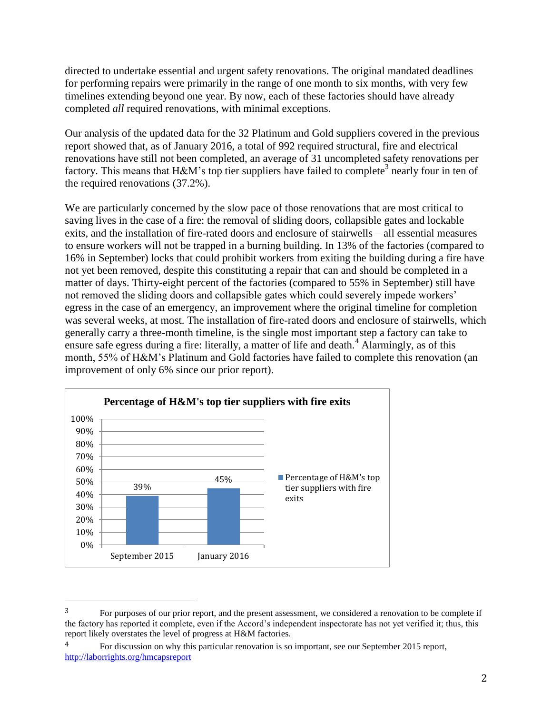directed to undertake essential and urgent safety renovations. The original mandated deadlines for performing repairs were primarily in the range of one month to six months, with very few timelines extending beyond one year. By now, each of these factories should have already completed *all* required renovations, with minimal exceptions.

Our analysis of the updated data for the 32 Platinum and Gold suppliers covered in the previous report showed that, as of January 2016, a total of 992 required structural, fire and electrical renovations have still not been completed, an average of 31 uncompleted safety renovations per factory. This means that H&M's top tier suppliers have failed to complete<sup>3</sup> nearly four in ten of the required renovations (37.2%).

We are particularly concerned by the slow pace of those renovations that are most critical to saving lives in the case of a fire: the removal of sliding doors, collapsible gates and lockable exits, and the installation of fire-rated doors and enclosure of stairwells – all essential measures to ensure workers will not be trapped in a burning building. In 13% of the factories (compared to 16% in September) locks that could prohibit workers from exiting the building during a fire have not yet been removed, despite this constituting a repair that can and should be completed in a matter of days. Thirty-eight percent of the factories (compared to 55% in September) still have not removed the sliding doors and collapsible gates which could severely impede workers' egress in the case of an emergency, an improvement where the original timeline for completion was several weeks, at most. The installation of fire-rated doors and enclosure of stairwells, which generally carry a three-month timeline, is the single most important step a factory can take to ensure safe egress during a fire: literally, a matter of life and death.<sup>4</sup> Alarmingly, as of this month, 55% of H&M's Platinum and Gold factories have failed to complete this renovation (an improvement of only 6% since our prior report).



 $\overline{a}$ 

<sup>3</sup> For purposes of our prior report, and the present assessment, we considered a renovation to be complete if the factory has reported it complete, even if the Accord's independent inspectorate has not yet verified it; thus, this report likely overstates the level of progress at H&M factories.

<sup>&</sup>lt;sup>4</sup> For discussion on why this particular renovation is so important, see our September 2015 report, <http://laborrights.org/hmcapsreport>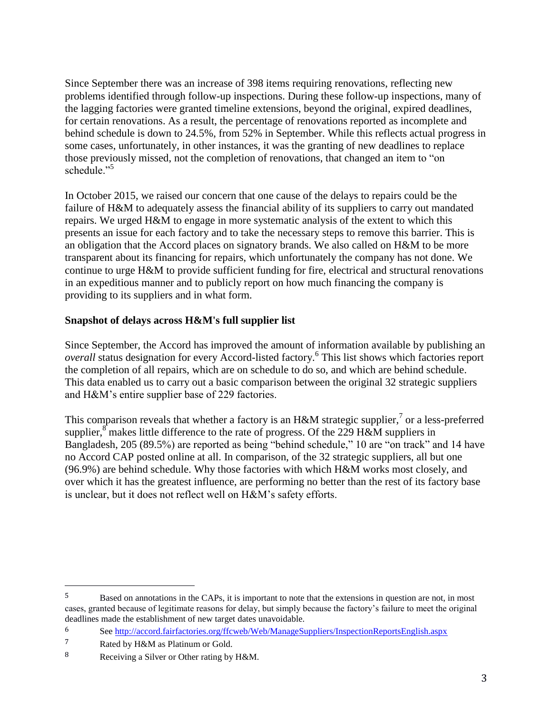Since September there was an increase of 398 items requiring renovations, reflecting new problems identified through follow-up inspections. During these follow-up inspections, many of the lagging factories were granted timeline extensions, beyond the original, expired deadlines, for certain renovations. As a result, the percentage of renovations reported as incomplete and behind schedule is down to 24.5%, from 52% in September. While this reflects actual progress in some cases, unfortunately, in other instances, it was the granting of new deadlines to replace those previously missed, not the completion of renovations, that changed an item to "on schedule."<sup>5</sup>

In October 2015, we raised our concern that one cause of the delays to repairs could be the failure of H&M to adequately assess the financial ability of its suppliers to carry out mandated repairs. We urged H&M to engage in more systematic analysis of the extent to which this presents an issue for each factory and to take the necessary steps to remove this barrier. This is an obligation that the Accord places on signatory brands. We also called on H&M to be more transparent about its financing for repairs, which unfortunately the company has not done. We continue to urge H&M to provide sufficient funding for fire, electrical and structural renovations in an expeditious manner and to publicly report on how much financing the company is providing to its suppliers and in what form.

# **Snapshot of delays across H&M's full supplier list**

Since September, the Accord has improved the amount of information available by publishing an *overall* status designation for every Accord-listed factory.<sup>6</sup> This list shows which factories report the completion of all repairs, which are on schedule to do so, and which are behind schedule. This data enabled us to carry out a basic comparison between the original 32 strategic suppliers and H&M's entire supplier base of 229 factories.

This comparison reveals that whether a factory is an H&M strategic supplier,<sup>7</sup> or a less-preferred supplier,  $\sin^8$  makes little difference to the rate of progress. Of the 229 H&M suppliers in Bangladesh, 205 (89.5%) are reported as being "behind schedule," 10 are "on track" and 14 have no Accord CAP posted online at all. In comparison, of the 32 strategic suppliers, all but one (96.9%) are behind schedule. Why those factories with which H&M works most closely, and over which it has the greatest influence, are performing no better than the rest of its factory base is unclear, but it does not reflect well on H&M's safety efforts.

 $\overline{a}$ 

<sup>5</sup> Based on annotations in the CAPs, it is important to note that the extensions in question are not, in most cases, granted because of legitimate reasons for delay, but simply because the factory's failure to meet the original deadlines made the establishment of new target dates unavoidable.

<sup>6</sup> Se[e http://accord.fairfactories.org/ffcweb/Web/ManageSuppliers/InspectionReportsEnglish.aspx](http://accord.fairfactories.org/ffcweb/Web/ManageSuppliers/InspectionReportsEnglish.aspx)

<sup>7</sup> Rated by H&M as Platinum or Gold.

<sup>8</sup> Receiving a Silver or Other rating by H&M.